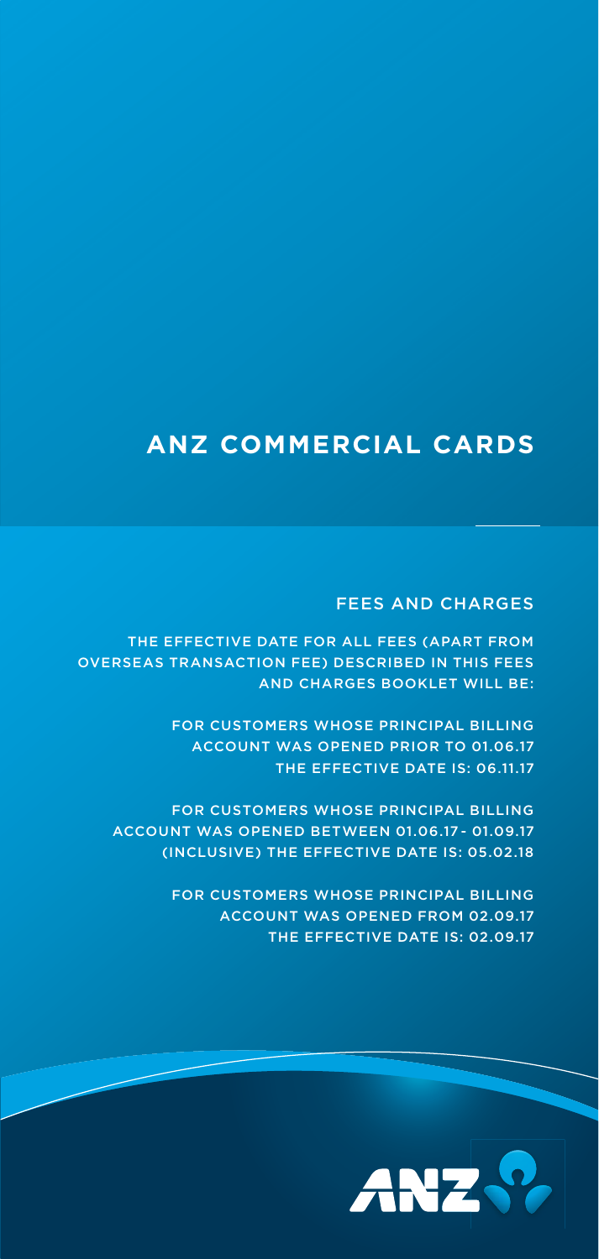# **ANZ COMMERCIAL CARDS**

# FEES AND CHARGES

THE EFFECTIVE DATE FOR ALL FEES (APART FROM OVERSEAS TRANSACTION FEE) DESCRIBED IN THIS FEES AND CHARGES BOOKLET WILL BE:

> FOR CUSTOMERS WHOSE PRINCIPAL BILLING ACCOUNT WAS OPENED PRIOR TO 01.06.17 THE EFFECTIVE DATE IS: 06.11.17

FOR CUSTOMERS WHOSE PRINCIPAL BILLING ACCOUNT WAS OPENED BETWEEN 01.06.17 - 01.09.17 (INCLUSIVE) THE EFFECTIVE DATE IS: 05.02.18

> FOR CUSTOMERS WHOSE PRINCIPAL BILLING ACCOUNT WAS OPENED FROM 02.09.17 THE EFFECTIVE DATE IS: 02.09.17

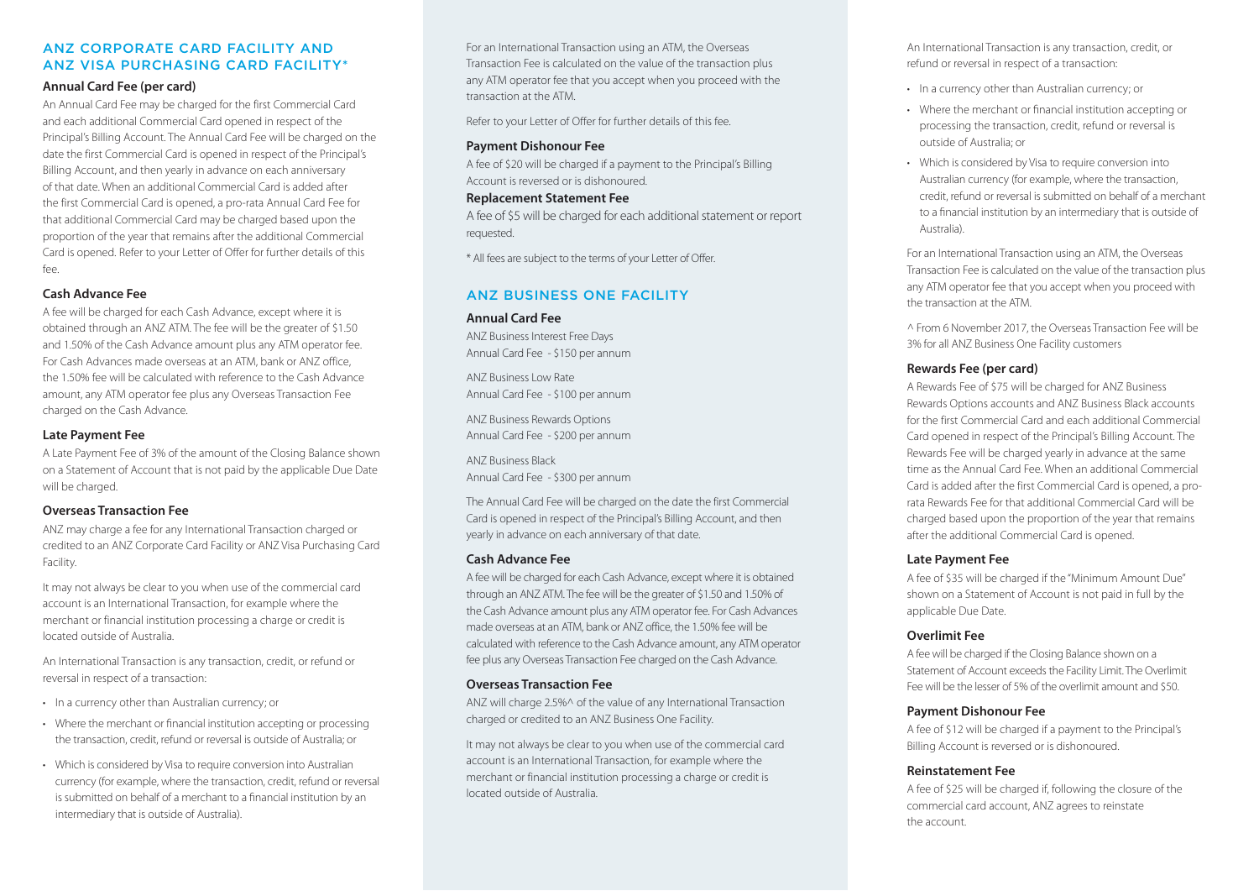# ANZ CORPORATE CARD FACILITY AND ANZ VISA PURCHASING CARD FACILITY\*

# **Annual Card Fee (per card)**

An Annual Card Fee may be charged for the first Commercial Card and each additional Commercial Card opened in respect of the Principal's Billing Account. The Annual Card Fee will be charged on the date the first Commercial Card is opened in respect of the Principal's Billing Account, and then yearly in advance on each anniversary of that date. When an additional Commercial Card is added afterthe first Commercial Card is opened, a pro-rata Annual Card Fee for that additional Commercial Card may be charged based upon the proportion of the year that remains after the additional Commercial Card is opened. Refer to your Letter of Offer for further details of this fee.

# **Cash Advance Fee**

A fee will be charged for each Cash Advance, except where it is obtained through an ANZ ATM. The fee will be the greater of \$1.50 and 1.50% of the Cash Advance amount plus any ATM operator fee. For Cash Advances made overseas at an ATM, bank or ANZ office, the 1.50% fee will be calculated with reference to the Cash Advanceamount, any ATM operator fee plus any Overseas Transaction Fee charged on the Cash Advance.

# **Late Payment Fee**

A Late Payment Fee of 3% of the amount of the Closing Balance shown on a Statement of Account that is not paid by the applicable Due Date will be charged.

# **Overseas Transaction Fee**

ANZ may charge a fee for any International Transaction charged or credited to an ANZ Corporate Card Facility or ANZ Visa Purchasing Card Facility.

It may not always be clear to you when use of the commercial card account is an International Transaction, for example where the merchant or financial institution processing a charge or credit is located outside of Australia.

An International Transaction is any transaction, credit, or refund or reversal in respect of a transaction:

- In a currency other than Australian currency; or
- Where the merchant or financial institution accepting or processing the transaction, credit, refund or reversal is outside of Australia; or
- Which is considered by Visa to require conversion into Australian currency (for example, where the transaction, credit, refund or reversal is submitted on behalf of a merchant to a financial institution by an intermediary that is outside of Australia).

For an International Transaction using an ATM, the Overseas Transaction Fee is calculated on the value of the transaction plus any ATM operator fee that you accept when you proceed with the transaction at the ATM.

Refer to your Letter of Offer for further details of this fee.

# **Payment Dishonour Fee**

A fee of \$20 will be charged if a payment to the Principal's Billing Account is reversed or is dishonoured.

#### **Replacement Statement Fee**

A fee of \$5 will be charged for each additional statement or report requested.

\* All fees are subject to the terms of your Letter of Offer.

# ANZ BUSINESS ONE FACILITY

#### **Annual Card Fee**

ANZ Business Interest Free Days Annual Card Fee - \$150 per annum

ANZ Business Low RateAnnual Card Fee - \$100 per annum

ANZ Business Rewards Options Annual Card Fee - \$200 per annum

ANZ Business BlackAnnual Card Fee - \$300 per annum

The Annual Card Fee will be charged on the date the first Commercial Card is opened in respect of the Principal's Billing Account, and then yearly in advance on each anniversary of that date.

# **Cash Advance Fee**

A fee will be charged for each Cash Advance, except where it is obtained through an ANZ ATM. The fee will be the greater of \$1.50 and 1.50% of the Cash Advance amount plus any ATM operator fee. For Cash Advances made overseas at an ATM, bank or ANZ office, the 1.50% fee will be calculated with reference to the Cash Advance amount, any ATM operator fee plus any Overseas Transaction Fee charged on the Cash Advance.

#### **Overseas Transaction Fee**

ANZ will charge 2.5%^ of the value of any International Transaction charged or credited to an ANZ Business One Facility.

It may not always be clear to you when use of the commercial card account is an International Transaction, for example where the merchant or financial institution processing a charge or credit is located outside of Australia.

An International Transaction is any transaction, credit, or refund or reversal in respect of a transaction:

- In a currency other than Australian currency; or
- Where the merchant or financial institution accepting or processing the transaction, credit, refund or reversal is outside of Australia; or
- Which is considered by Visa to require conversion into Australian currency (for example, where the transaction, credit, refund or reversal is submitted on behalf of a merchant to a financial institution by an intermediary that is outside of Australia).

For an International Transaction using an ATM, the Overseas Transaction Fee is calculated on the value of the transaction plus any ATM operator fee that you accept when you proceed with the transaction at the ATM.

^ From 6 November 2017, the Overseas Transaction Fee will be 3% for all ANZ Business One Facility customers

# **Rewards Fee (per card)**

A Rewards Fee of \$75 will be charged for ANZ Business Rewards Options accounts and ANZ Business Black accounts for the first Commercial Card and each additional Commercial Card opened in respect of the Principal's Billing Account. The Rewards Fee will be charged yearly in advance at the same time as the Annual Card Fee. When an additional Commercial Card is added after the first Commercial Card is opened, a prorata Rewards Fee for that additional Commercial Card will be charged based upon the proportion of the year that remains after the additional Commercial Card is opened.

# **Late Payment Fee**

A fee of \$35 will be charged if the "Minimum Amount Due" shown on a Statement of Account is not paid in full by the applicable Due Date.

# **Overlimit Fee**

A fee will be charged if the Closing Balance shown on a Statement of Account exceeds the Facility Limit. The Overlimit Fee will be the lesser of 5% of the overlimit amount and \$50.

# **Payment Dishonour Fee**

A fee of \$12 will be charged if a payment to the Principal's Billing Account is reversed or is dishonoured.

# **Reinstatement Fee**

A fee of \$25 will be charged if, following the closure of the commercial card account, ANZ agrees to reinstate the account.